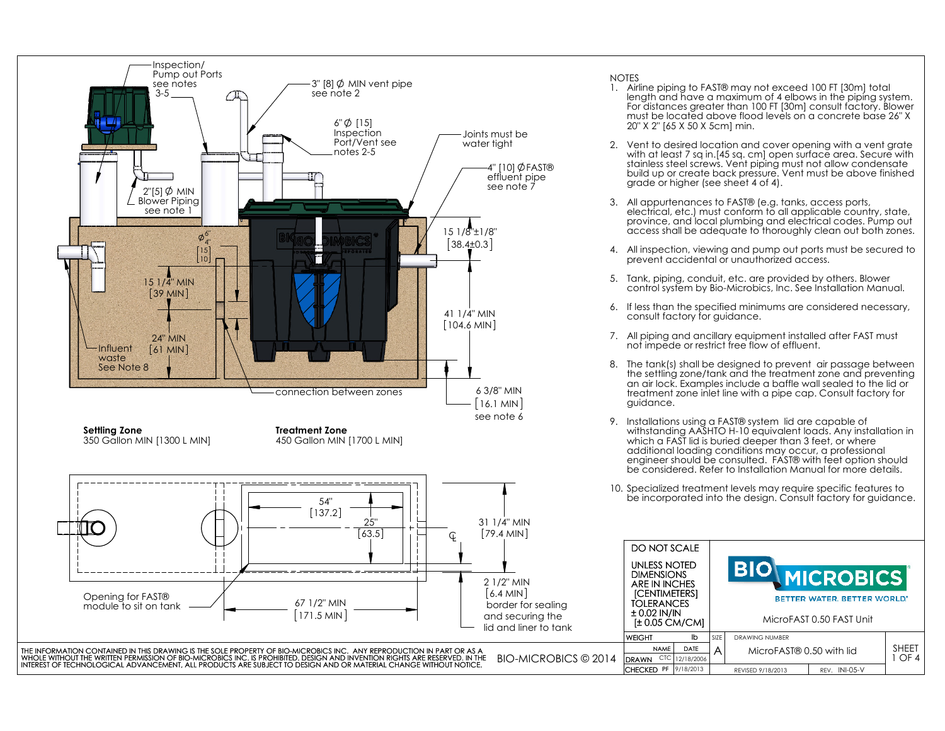

- 1. Airline piping to FAST® may not exceed 100 FT [30m] total length and have a maximum of 4 elbows in the piping system. For distances greater than 100 FT [30m] consult factory. Blower must be located above flood levels on a concrete base 26" X 20" X 2" [65 X 50 X 5cm] min.
- 2. Vent to desired location and cover opening with a vent grate with at least 7 sq in.[45 sq. cm] open surface area. Secure with stainless steel screws. Vent piping must not allow condensate build up or create back pressure. Vent must be above finished grade or higher (see sheet 4 of 4).
- 3. All appurtenances to FAST® (e.g. tanks, access ports, electrical, etc.) must conform to all applicable country, state, province, and local plumbing and electrical codes. Pump out access shall be adequate to thoroughly clean out both zones.
- 4. All inspection, viewing and pump out ports must be secured to prevent accidental or unauthorized access.
- 5. Tank, piping, conduit, etc. are provided by others. Blower control system by Bio-Microbics, Inc. See Installation Manual.
- 6. If less than the specified minimums are considered necessary, consult factory for guidance.
- 7. All piping and ancillary equipment installed after FAST must not impede or restrict free flow of effluent.
- 8. The tank(s) shall be designed to prevent air passage between the settling zone/tank and the treatment zone and preventing an air lock. Examples include a baffle wall sealed to the lid or treatment zone inlet line with a pipe cap. Consult factory for
- 9. Installations using a FAST® system lid are capable of withstanding AASHTO H-10 equivalent loads. Any installation in which a FAST lid is buried deeper than 3 feet, or where additional loading conditions may occur, a professional engineer should be consulted. FAST® with feet option should be considered. Refer to Installation Manual for more details.
- 10. Specialized treatment levels may require specific features to be incorporated into the design. Consult factory for guidance.

REV. INI-05-V

BETTER WATER, BETTER WORLD\*

**CROBICS** 

1 OF 4

MicroFAST 0.50 FAST Unit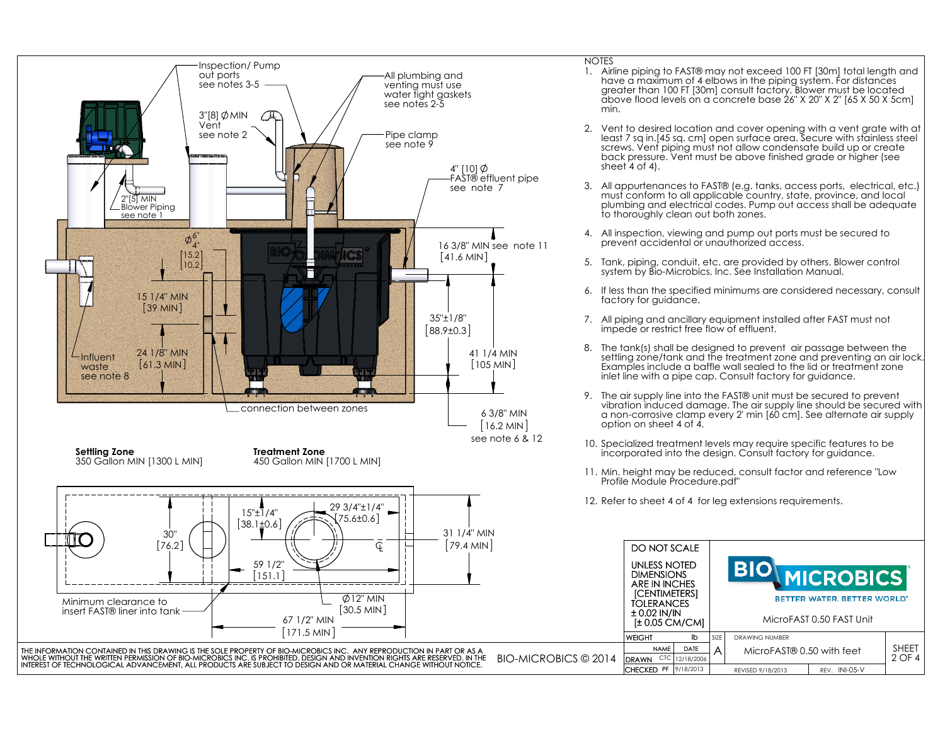

#### **NOTES**

- 1. Airline piping to FAST® may not exceed 100 FT [30m] total length and have a maximum of 4 elbows in the piping system. For distances greater than 100 FT [30m] consult factory. Blower must be located above flood levels on a concrete base 26" X 20" X 2" [65 X 50 X 5cm] min.
- 2. Vent to desired location and cover opening with a vent grate with at least 7 sq in.[45 sq. cm] open surface area. Secure with stainless steel screws. Vent piping must not allow condensate build up or create back pressure. Vent must be above finished grade or higher (see sheet 4 of 4).
- 3. All appurtenances to FAST® (e.g. tanks, access ports, electrical, etc.) must conform to all applicable country, state, province, and local plumbing and electrical codes. Pump out access shall be adequate to thoroughly clean out both zones.
- 4. All inspection, viewing and pump out ports must be secured to prevent accidental or unauthorized access.
- 5. Tank, piping, conduit, etc. are provided by others. Blower control system by Bio-Microbics, Inc. See Installation Manual.
- 6. If less than the specified minimums are considered necessary, consult factory for guidance.
- 7. All piping and ancillary equipment installed after FAST must not impede or restrict free flow of effluent.
- 8. The tank(s) shall be designed to prevent air passage between the settling zone/tank and the treatment zone and preventing an air lock. Examples include a baffle wall sealed to the lid or treatment zone inlet line with a pipe cap. Consult factory for guidance.
- 9. The air supply line into the FAST® unit must be secured to prevent vibration induced damage. The air supply line should be secured with a non-corrosive clamp every 2' min [60 cm]. See alternate air supply option on sheet 4 of 4.
- 10. Specialized treatment levels may require specific features to be incorporated into the design. Consult factory for guidance.
- 11. Min. height may be reduced, consult factor and reference "Low Profile Module Procedure.pdf"
- NOTES<br>
1. Airline piping to FAS<br>
Inverse a maximum of greater than 100 FT<br>
above flood levels of<br>
min.<br>
2. Vent to desired loce<br>
min.<br>
least 7 sq in. [45 sq. c,<br>
screws. Vent piping<br>
back pressure. Vent<br>
sheet 4 of 4).<br>
3. DO NOT SCALEUNLESS NOTED **CROBICS DIMENSIONS**  ARE IN INCHES [CENTIMETERS] BETTER WATER, BETTER WORLD\* **TOLERANCES** ± 0.02 IN/IN [± 0.05 CM/CM] MicroFAST 0.50 FAST Unit DRAWING NUMBER WFIGHT lb NAME DATE $\mathsf{A}$  MicroFAST® 0.50 with feet  $\begin{array}{|l|l|}\n\hline\n 2\t0 & 4\n\end{array}$ THE INFORMATION CONTAINED IN THIS DRAWING IS THE SOLE PROPERTY OF BIO-MICROBICS INC. ANY REPRODUCTION IN PART OR AS A A4 DRAWN CTC 12/18/2006 WHOLE WITHOUT THE WRITTEN PERMISSION OF BIO-MICROBICS INC. IS PROHIBITED. DESIGN AND INVENTION RIGHTS ARE RESERVED. IN THEBIO-MICROBICS © 2014 INTEREST OF TECHNOLOGICAL ADVANCEMENT, ALL PRODUCTS ARE SUBJECT TO DESIGN AND OR MATERIAL CHANGE WITHOUT NOTICE. CHECKED PF 9/18/2013 . INI-05-V REVISED 9/18/2013 REV.
	- 12. Refer to sheet 4 of 4 for leg extensions requirements.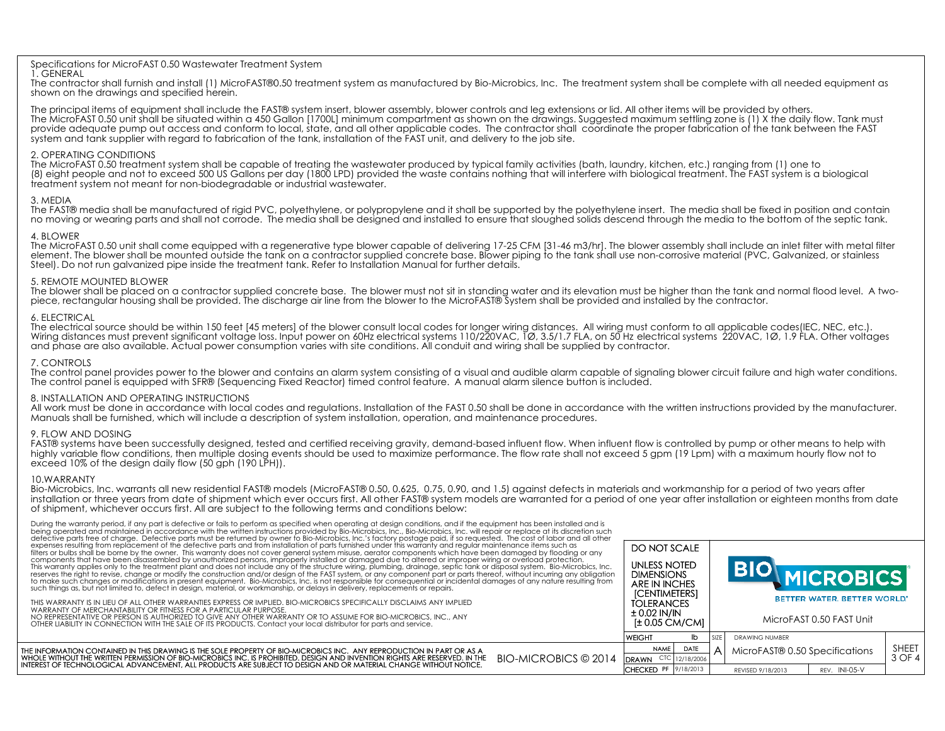#### Specifications for MicroFAST 0.50 Wastewater Treatment System 1. GENERAL

 The contractor shall furnish and install (1) MicroFAST®0.50 treatment system as manufactured by Bio-Microbics, Inc. The treatment system shall be complete with all needed equipment as shown on the drawings and specified herein.

The principal items of equipment shall include the FAST® system insert, blower assembly, blower controls and leg extensions or lid. All other items will be provided by others. The MicroFAST 0.50 unit shall be situated within a 450 Gallon [1700L] minimum compartment as shown on the drawings. Suggested maximum settling zone is (1) X the daily flow. Tank must provide adequate pump out access and conform to local, state, and all other applicable codes. The contractor shall coordinate the proper fabrication of the tank between the FAST system and tank supplier with regard to fabrication of the tank, installation of the FAST unit, and delivery to the job site.

#### 2. OPERATING CONDITIONS

 The MicroFAST 0.50 treatment system shall be capable of treating the wastewater produced by typical family activities (bath, laundry, kitchen, etc.) ranging from (1) one to (8) eight people and not to exceed 500 US Gallons per day (1800 LPD) provided the waste contains nothing that will interfere with biological treatment. The FAST system is a biological treatment system not meant for non-biodegradable or industrial wastewater.

## 3. MEDIA

 The FAST® media shall be manufactured of rigid PVC, polyethylene, or polypropylene and it shall be supported by the polyethylene insert. The media shall be fixed in position and contain no moving or wearing parts and shall not corrode. The media shall be designed and installed to ensure that sloughed solids descend through the media to the bottom of the septic tank.

# 4. BLOWER

 The MicroFAST 0.50 unit shall come equipped with a regenerative type blower capable of delivering 17-25 CFM [31-46 m3/hr]. The blower assembly shall include an inlet filter with metal filter element. The blower shall be mounted outside the tank on a contractor supplied concrete base. Blower piping to the tank shall use non-corrosive material (PVC, Galvanized, or stainless Steel). Do not run galvanized pipe inside the treatment tank. Refer to Installation Manual for further details.

## 5. REMOTE MOUNTED BLOWER

The blower shall be placed on a contractor supplied concrete base. The blower must not sit in standing water and its elevation must be higher than the tank and normal flood level. A twopiece, rectangular housing shall be provided. The discharge air line from the blower to the MicroFAST® System shall be provided and installed by the contractor.

## 6. ELECTRICAL

Wiring distances must prevent significant voltage loss. Input power on 60Hz electrical systems 110/220VAC, 1Ø, 3.5/1.7 FLA, on 50 Hz electrical systems 220VAC, 1Ø, 1.9 FLA. Other voltages The electrical source should be within 150 feet [45 meters] of the blower consult local codes for longer wiring distances. All wiring must conform to all applicable codes(IEC, NEC, etc.). and phase are also available. Actual power consumption varies with site conditions. All conduit and wiring shall be supplied by contractor.

## 7. CONTROLS

The control panel provides power to the blower and contains an alarm system consisting of a visual and audible alarm capable of signaling blower circuit failure and high water conditions. The control panel is equipped with SFR® (Sequencing Fixed Reactor) timed control feature. A manual alarm silence button is included.

#### 8. INSTALLATION AND OPERATING INSTRUCTIONS

All work must be done in accordance with local codes and regulations. Installation of the FAST 0.50 shall be done in accordance with the written instructions provided by the manufacturer. Manuals shall be furnished, which will include a description of system installation, operation, and maintenance procedures.

# 9. FLOW AND DOSING

 FAST® systems have been successfully designed, tested and certified receiving gravity, demand-based influent flow. When influent flow is controlled by pump or other means to help with highly variable flow conditions, then multiple dosing events should be used to maximize performance. The flow rate shall not exceed 5 gpm (19 Lpm) with a maximum hourly flow not to exceed 10% of the design daily flow (50 gph (190 LPH)).

# 10.WARRANTY

 Bio-Microbics, Inc. warrants all new residential FAST® models (MicroFAST® 0.50, 0.625, 0.75, 0.90, and 1.5) against defects in materials and workmanship for a period of two years after installation or three years from date of shipment which ever occurs first. All other FAST® system models are warranted for a period of one year after installation or eighteen months from date of shipment, whichever occurs first. All are subject to the following terms and conditions below:

During the warranty period, if any part is defective or fails to perform as specified when operating at design conditions, and if the equipment has been installed and is

| being operated and maintained in accordance with the written instructions provided by Bio-Microbics, Inc., Bio-Microbics, Inc. will repair or replace at its discretion such<br>defective parts free of charge. Defective parts must be returned by owner to Bio-Microbics, Inc.'s factory postage paid, if so requested. The cost of labor and all other<br>expenses resulting from replacement of the defective parts and from installation of parts furnished under this warranty and regular maintenance items such as<br>filters or bulbs shall be borne by the owner. This warranty does not cover general system misuse, aerator components which have been damaged by flooding or any<br>components that have been disassembled by unauthorized persons, improperly installed or damaged due to altered or improper wiring or overload protection.<br>This warranty applies only to the treatment plant and does not include any of the structure wiring, plumbing, drainage, septic tank or disposal system. Bio-Microbics, Inc.<br>reserves the right to revise, change or modify the construction and/or design of the FAST system, or any component part or parts thereof, without incurring any obligation<br>to make such changes or modifications in present equipment. Bio-Microbics, Inc. is not responsible for consequential or incidental damages of any nature resulting from<br>such things as, but not limited to, defect in design, material, or workmanship, or delays in delivery, replacements or repairs.<br>THIS WARRANTY IS IN LIEU OF ALL OTHER WARRANTIES EXPRESS OR IMPLIED. BIO-MICROBICS SPECIFICALLY DISCLAIMS ANY IMPLIED<br>WARRANTY OF MERCHANTABILITY OR FITNESS FOR A PARTICULAR PURPOSE.<br>NO REPRESENTATIVE OR PERSON IS AUTHORIZED TO GIVE ANY OTHER WARRANTY OR TO ASSUME FOR BIO-MICROBICS. INC., ANY<br>OTHER LIABILITY IN CONNECTION WITH THE SALE OF ITS PRODUCTS. Contact your local distributor for parts and service. | DO NOT SCALE<br><b>UNLESS NOTED</b><br><b>DIMENSIONS</b><br>ARE IN INCHES<br><b>[CENTIMETERS]</b><br><b>TOLERANCES</b><br>± 0.02 IN/IN<br>$\pm$ 0.05 CM/CM] |   |                       | <b>OMICROBICS</b><br>BETTER WATER, BETTER WORLD"<br>MicroFAST 0.50 FAST Unit |                 |
|----------------------------------------------------------------------------------------------------------------------------------------------------------------------------------------------------------------------------------------------------------------------------------------------------------------------------------------------------------------------------------------------------------------------------------------------------------------------------------------------------------------------------------------------------------------------------------------------------------------------------------------------------------------------------------------------------------------------------------------------------------------------------------------------------------------------------------------------------------------------------------------------------------------------------------------------------------------------------------------------------------------------------------------------------------------------------------------------------------------------------------------------------------------------------------------------------------------------------------------------------------------------------------------------------------------------------------------------------------------------------------------------------------------------------------------------------------------------------------------------------------------------------------------------------------------------------------------------------------------------------------------------------------------------------------------------------------------------------------------------------------------------------------------------------------------------------------------------------------------------------------------------------------------------------------------------------------------------------|-------------------------------------------------------------------------------------------------------------------------------------------------------------|---|-----------------------|------------------------------------------------------------------------------|-----------------|
|                                                                                                                                                                                                                                                                                                                                                                                                                                                                                                                                                                                                                                                                                                                                                                                                                                                                                                                                                                                                                                                                                                                                                                                                                                                                                                                                                                                                                                                                                                                                                                                                                                                                                                                                                                                                                                                                                                                                                                            | <b>WEIGHT</b>                                                                                                                                               |   | <b>DRAWING NUMBER</b> |                                                                              |                 |
| THE INFORMATION CONTAINED IN THIS DRAWING IS THE SOLE PROPERTY OF BIO-MICROBICS INC. ANY REPRODUCTION IN PART OR AS A<br>BIO-MICROBICS © 2014<br>WHOLE WITHOUT THE WRITTEN PERMISSION OF BIO-MICROBICS INC. IS PROHIBITED. DESIGN AND INVENTION RIGHTS ARE RESERVED. IN THE                                                                                                                                                                                                                                                                                                                                                                                                                                                                                                                                                                                                                                                                                                                                                                                                                                                                                                                                                                                                                                                                                                                                                                                                                                                                                                                                                                                                                                                                                                                                                                                                                                                                                                | DATE<br><b>NAME</b><br>DRAWN                                                                                                                                | Α |                       | MicroFAST® 0.50 Specifications                                               | SHEET<br>3 OF 4 |
| INTEREST OF TECHNOLOGICAL ADVANCEMENT, ALL PRODUCTS ARE SUBJECT TO DESIGN AND OR MATERIAL CHANGE WITHOUT NOTICE.                                                                                                                                                                                                                                                                                                                                                                                                                                                                                                                                                                                                                                                                                                                                                                                                                                                                                                                                                                                                                                                                                                                                                                                                                                                                                                                                                                                                                                                                                                                                                                                                                                                                                                                                                                                                                                                           | <b>ICHECKED PF 9/18/2013</b>                                                                                                                                |   | REVISED 9/18/2013     | REV. INI-05-V                                                                |                 |
|                                                                                                                                                                                                                                                                                                                                                                                                                                                                                                                                                                                                                                                                                                                                                                                                                                                                                                                                                                                                                                                                                                                                                                                                                                                                                                                                                                                                                                                                                                                                                                                                                                                                                                                                                                                                                                                                                                                                                                            |                                                                                                                                                             |   |                       |                                                                              |                 |